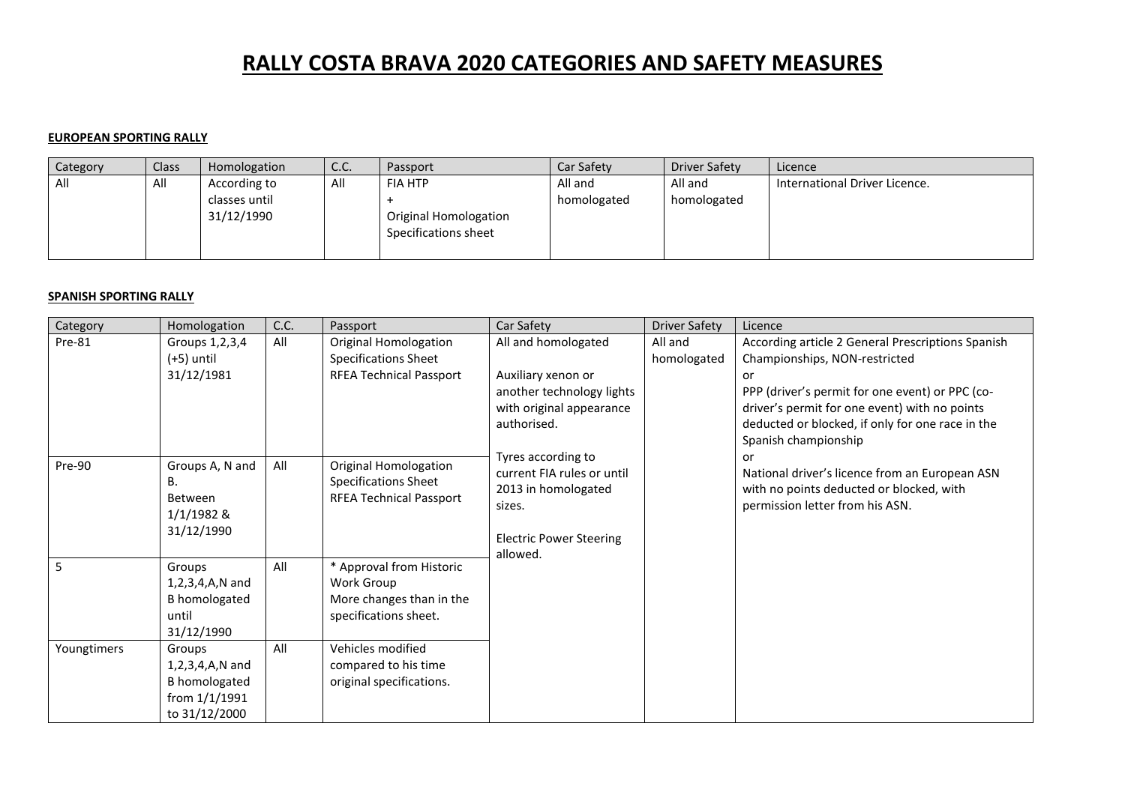# **RALLY COSTA BRAVA 2020 CATEGORIES AND SAFETY MEASURES**

#### **EUROPEAN SPORTING RALLY**

| Category | Class | Homologation                | C.C. | Passport                                      | Car Safety  | <b>Driver Safety</b> | Licence                       |
|----------|-------|-----------------------------|------|-----------------------------------------------|-------------|----------------------|-------------------------------|
| All      | All   | According to                | All  | <b>FIA HTP</b>                                | All and     | All and              | International Driver Licence. |
|          |       | classes until<br>31/12/1990 |      | Original Homologation<br>Specifications sheet | homologated | homologated          |                               |

#### **SPANISH SPORTING RALLY**

| Category    | Homologation                                                                               | C.C. | Passport                                                                                      | Car Safety                                                                                                                      | <b>Driver Safety</b>   | Licence                                                                                                                                                                                                                                                                  |
|-------------|--------------------------------------------------------------------------------------------|------|-----------------------------------------------------------------------------------------------|---------------------------------------------------------------------------------------------------------------------------------|------------------------|--------------------------------------------------------------------------------------------------------------------------------------------------------------------------------------------------------------------------------------------------------------------------|
| Pre-81      | Groups 1, 2, 3, 4<br>(+5) until<br>31/12/1981                                              | All  | Original Homologation<br><b>Specifications Sheet</b><br><b>RFEA Technical Passport</b>        | All and homologated<br>Auxiliary xenon or<br>another technology lights<br>with original appearance<br>authorised.               | All and<br>homologated | According article 2 General Prescriptions Spanish<br>Championships, NON-restricted<br>or<br>PPP (driver's permit for one event) or PPC (co-<br>driver's permit for one event) with no points<br>deducted or blocked, if only for one race in the<br>Spanish championship |
| Pre-90      | Groups A, N and<br>В.<br>Between<br>1/1/1982 &<br>31/12/1990                               | All  | <b>Original Homologation</b><br><b>Specifications Sheet</b><br><b>RFEA Technical Passport</b> | Tyres according to<br>current FIA rules or until<br>2013 in homologated<br>sizes.<br><b>Electric Power Steering</b><br>allowed. |                        | or<br>National driver's licence from an European ASN<br>with no points deducted or blocked, with<br>permission letter from his ASN.                                                                                                                                      |
| 5           | Groups<br>1,2,3,4,A,N and<br><b>B</b> homologated<br>until<br>31/12/1990                   | All  | * Approval from Historic<br>Work Group<br>More changes than in the<br>specifications sheet.   |                                                                                                                                 |                        |                                                                                                                                                                                                                                                                          |
| Youngtimers | Groups<br>$1, 2, 3, 4, A, N$ and<br><b>B</b> homologated<br>from 1/1/1991<br>to 31/12/2000 | All  | Vehicles modified<br>compared to his time<br>original specifications.                         |                                                                                                                                 |                        |                                                                                                                                                                                                                                                                          |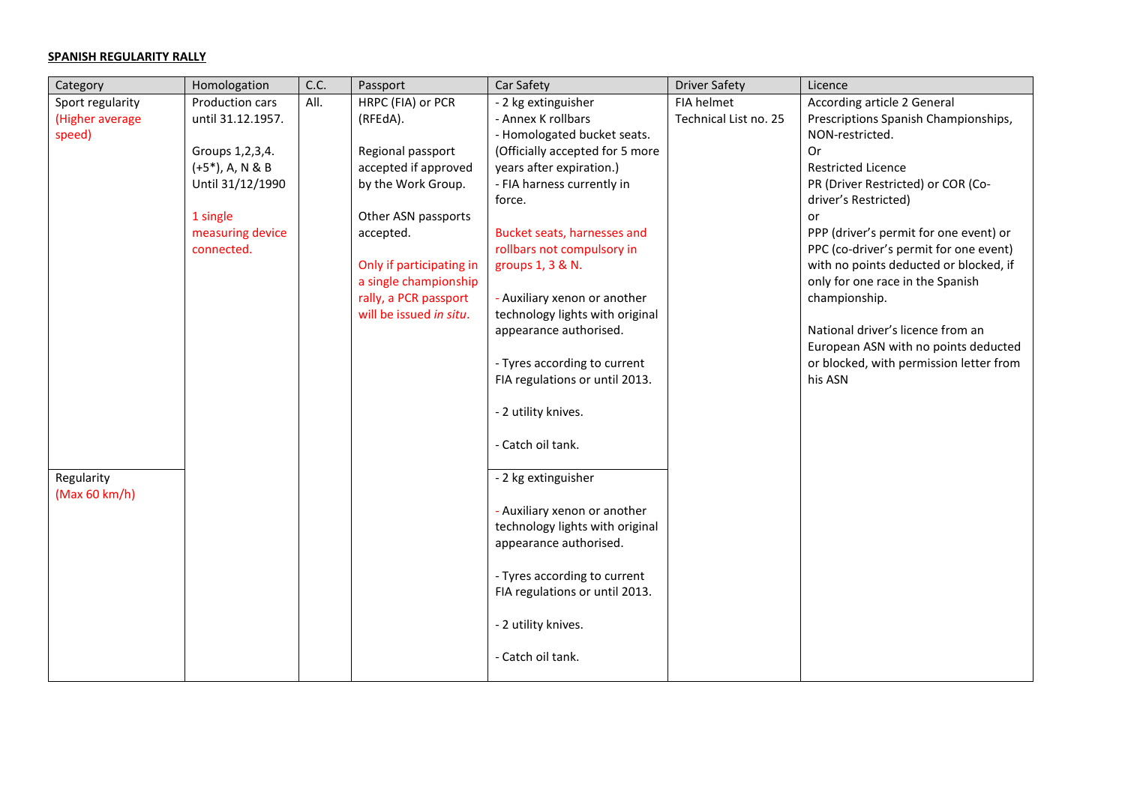## **SPANISH REGULARITY RALLY**

| Category         | Homologation        | C.C. | Passport                 | Car Safety                      | <b>Driver Safety</b>  | Licence                                 |
|------------------|---------------------|------|--------------------------|---------------------------------|-----------------------|-----------------------------------------|
| Sport regularity | Production cars     | All. | HRPC (FIA) or PCR        | - 2 kg extinguisher             | FIA helmet            | According article 2 General             |
| (Higher average  | until 31.12.1957.   |      | (RFEdA).                 | - Annex K rollbars              | Technical List no. 25 | Prescriptions Spanish Championships,    |
| speed)           |                     |      |                          | - Homologated bucket seats.     |                       | NON-restricted.                         |
|                  | Groups 1, 2, 3, 4.  |      | Regional passport        | (Officially accepted for 5 more |                       | Or                                      |
|                  | $(+5^*)$ , A, N & B |      | accepted if approved     | years after expiration.)        |                       | <b>Restricted Licence</b>               |
|                  | Until 31/12/1990    |      | by the Work Group.       | - FIA harness currently in      |                       | PR (Driver Restricted) or COR (Co-      |
|                  |                     |      |                          | force.                          |                       | driver's Restricted)                    |
|                  | 1 single            |      | Other ASN passports      |                                 |                       | or                                      |
|                  | measuring device    |      | accepted.                | Bucket seats, harnesses and     |                       | PPP (driver's permit for one event) or  |
|                  | connected.          |      |                          | rollbars not compulsory in      |                       | PPC (co-driver's permit for one event)  |
|                  |                     |      | Only if participating in | groups 1, 3 & N.                |                       | with no points deducted or blocked, if  |
|                  |                     |      | a single championship    |                                 |                       | only for one race in the Spanish        |
|                  |                     |      | rally, a PCR passport    | - Auxiliary xenon or another    |                       | championship.                           |
|                  |                     |      | will be issued in situ.  | technology lights with original |                       |                                         |
|                  |                     |      |                          | appearance authorised.          |                       | National driver's licence from an       |
|                  |                     |      |                          |                                 |                       | European ASN with no points deducted    |
|                  |                     |      |                          | - Tyres according to current    |                       | or blocked, with permission letter from |
|                  |                     |      |                          | FIA regulations or until 2013.  |                       | his ASN                                 |
|                  |                     |      |                          |                                 |                       |                                         |
|                  |                     |      |                          | - 2 utility knives.             |                       |                                         |
|                  |                     |      |                          |                                 |                       |                                         |
|                  |                     |      |                          | - Catch oil tank.               |                       |                                         |
|                  |                     |      |                          |                                 |                       |                                         |
| Regularity       |                     |      |                          | - 2 kg extinguisher             |                       |                                         |
| (Max 60 km/h)    |                     |      |                          |                                 |                       |                                         |
|                  |                     |      |                          | - Auxiliary xenon or another    |                       |                                         |
|                  |                     |      |                          | technology lights with original |                       |                                         |
|                  |                     |      |                          | appearance authorised.          |                       |                                         |
|                  |                     |      |                          |                                 |                       |                                         |
|                  |                     |      |                          | - Tyres according to current    |                       |                                         |
|                  |                     |      |                          | FIA regulations or until 2013.  |                       |                                         |
|                  |                     |      |                          |                                 |                       |                                         |
|                  |                     |      |                          | - 2 utility knives.             |                       |                                         |
|                  |                     |      |                          |                                 |                       |                                         |
|                  |                     |      |                          | - Catch oil tank.               |                       |                                         |
|                  |                     |      |                          |                                 |                       |                                         |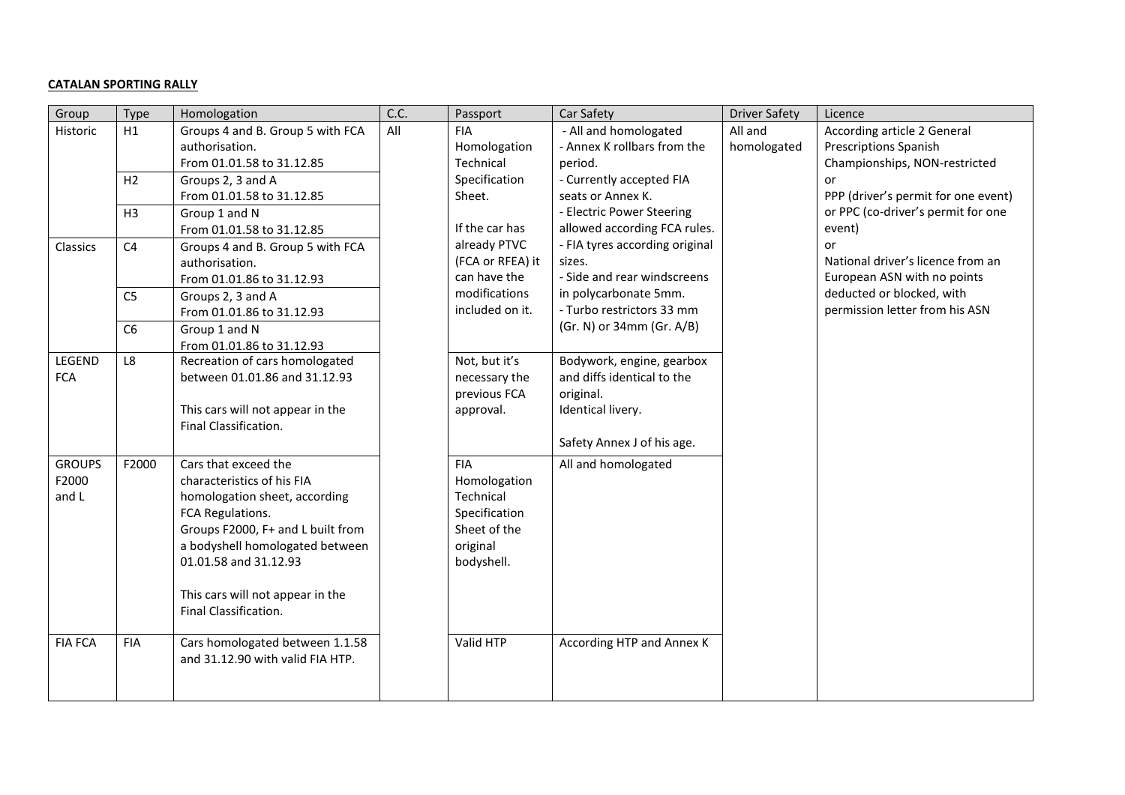## **CATALAN SPORTING RALLY**

| Group                           | Type           | Homologation                                                                                                                                                                                                                                                          | C.C. | Passport                                                                                           | Car Safety                                                                                                              | <b>Driver Safety</b>   | Licence                                                                                      |
|---------------------------------|----------------|-----------------------------------------------------------------------------------------------------------------------------------------------------------------------------------------------------------------------------------------------------------------------|------|----------------------------------------------------------------------------------------------------|-------------------------------------------------------------------------------------------------------------------------|------------------------|----------------------------------------------------------------------------------------------|
| Historic                        | H1             | Groups 4 and B. Group 5 with FCA<br>authorisation.<br>From 01.01.58 to 31.12.85                                                                                                                                                                                       | All  | <b>FIA</b><br>Homologation<br>Technical                                                            | - All and homologated<br>- Annex K rollbars from the<br>period.                                                         | All and<br>homologated | According article 2 General<br><b>Prescriptions Spanish</b><br>Championships, NON-restricted |
|                                 | H2             | Groups 2, 3 and A<br>From 01.01.58 to 31.12.85                                                                                                                                                                                                                        |      | Specification<br>Sheet.                                                                            | - Currently accepted FIA<br>seats or Annex K.                                                                           |                        | or<br>PPP (driver's permit for one event)                                                    |
|                                 | H3             | Group 1 and N<br>From 01.01.58 to 31.12.85                                                                                                                                                                                                                            |      | If the car has                                                                                     | - Electric Power Steering<br>allowed according FCA rules.                                                               |                        | or PPC (co-driver's permit for one<br>event)                                                 |
| Classics                        | C <sub>4</sub> | Groups 4 and B. Group 5 with FCA<br>authorisation.<br>From 01.01.86 to 31.12.93                                                                                                                                                                                       |      | already PTVC<br>(FCA or RFEA) it<br>can have the                                                   | - FIA tyres according original<br>sizes.<br>- Side and rear windscreens                                                 |                        | or<br>National driver's licence from an<br>European ASN with no points                       |
|                                 | C <sub>5</sub> | Groups 2, 3 and A<br>From 01.01.86 to 31.12.93                                                                                                                                                                                                                        |      | modifications<br>included on it.                                                                   | in polycarbonate 5mm.<br>- Turbo restrictors 33 mm                                                                      |                        | deducted or blocked, with<br>permission letter from his ASN                                  |
|                                 | C6             | Group 1 and N<br>From 01.01.86 to 31.12.93                                                                                                                                                                                                                            |      |                                                                                                    | (Gr. N) or 34mm (Gr. A/B)                                                                                               |                        |                                                                                              |
| LEGEND<br><b>FCA</b>            | L8             | Recreation of cars homologated<br>between 01.01.86 and 31.12.93<br>This cars will not appear in the<br>Final Classification.                                                                                                                                          |      | Not, but it's<br>necessary the<br>previous FCA<br>approval.                                        | Bodywork, engine, gearbox<br>and diffs identical to the<br>original.<br>Identical livery.<br>Safety Annex J of his age. |                        |                                                                                              |
| <b>GROUPS</b><br>F2000<br>and L | F2000          | Cars that exceed the<br>characteristics of his FIA<br>homologation sheet, according<br>FCA Regulations.<br>Groups F2000, F+ and L built from<br>a bodyshell homologated between<br>01.01.58 and 31.12.93<br>This cars will not appear in the<br>Final Classification. |      | <b>FIA</b><br>Homologation<br>Technical<br>Specification<br>Sheet of the<br>original<br>bodyshell. | All and homologated                                                                                                     |                        |                                                                                              |
| <b>FIA FCA</b>                  | <b>FIA</b>     | Cars homologated between 1.1.58<br>and 31.12.90 with valid FIA HTP.                                                                                                                                                                                                   |      | Valid HTP                                                                                          | According HTP and Annex K                                                                                               |                        |                                                                                              |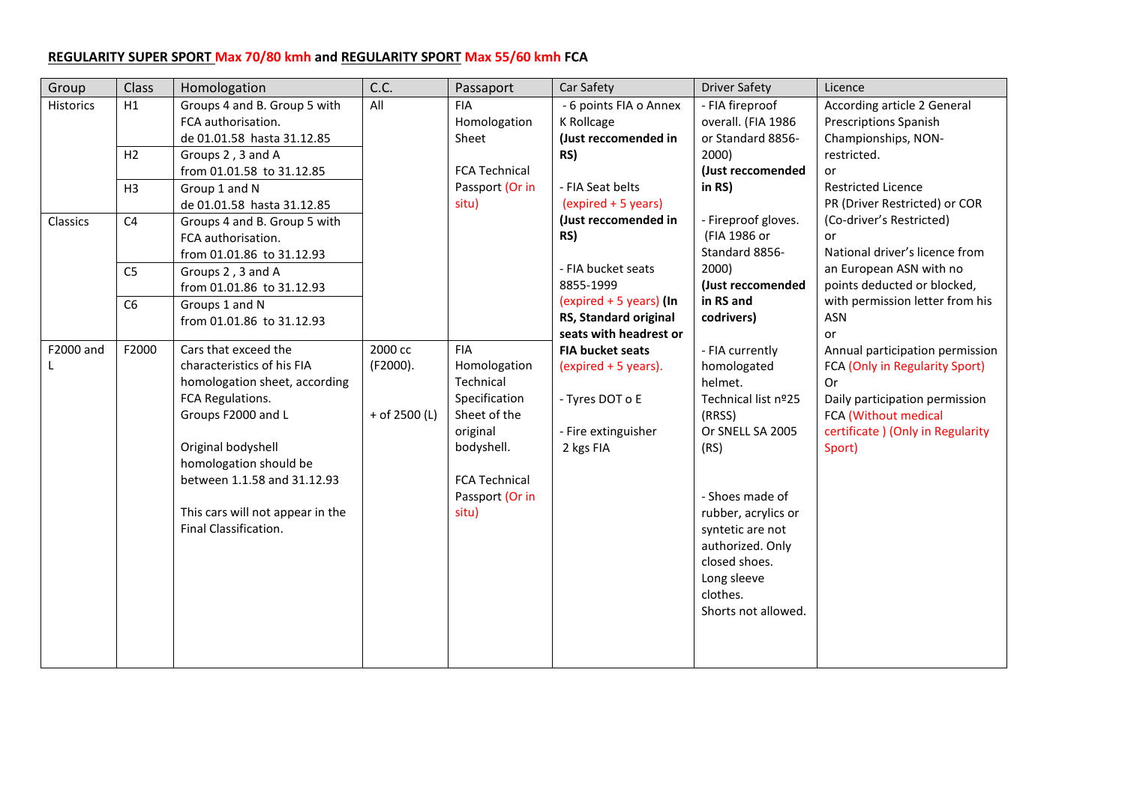# **REGULARITY SUPER SPORT Max 70/80 kmh and REGULARITY SPORT Max 55/60 kmh FCA**

| Group            | Class          | Homologation                                                                                                                                                                                                                                                              | C.C.                                   | Passaport                                                                                                                                              | Car Safety                                                                                             | <b>Driver Safety</b>                                                                                                                                                                                                                                        | Licence                                                                                                                                                                          |
|------------------|----------------|---------------------------------------------------------------------------------------------------------------------------------------------------------------------------------------------------------------------------------------------------------------------------|----------------------------------------|--------------------------------------------------------------------------------------------------------------------------------------------------------|--------------------------------------------------------------------------------------------------------|-------------------------------------------------------------------------------------------------------------------------------------------------------------------------------------------------------------------------------------------------------------|----------------------------------------------------------------------------------------------------------------------------------------------------------------------------------|
| <b>Historics</b> | H1             | Groups 4 and B. Group 5 with<br>FCA authorisation.<br>de 01.01.58 hasta 31.12.85                                                                                                                                                                                          | All                                    | <b>FIA</b><br>Homologation<br>Sheet                                                                                                                    | - 6 points FIA o Annex<br>K Rollcage<br>(Just reccomended in                                           | - FIA fireproof<br>overall. (FIA 1986<br>or Standard 8856-                                                                                                                                                                                                  | According article 2 General<br><b>Prescriptions Spanish</b><br>Championships, NON-                                                                                               |
|                  | H2             | Groups 2, 3 and A<br>from 01.01.58 to 31.12.85                                                                                                                                                                                                                            |                                        | <b>FCA Technical</b>                                                                                                                                   | RS)                                                                                                    | 2000)<br>(Just reccomended                                                                                                                                                                                                                                  | restricted.<br>or                                                                                                                                                                |
|                  | H3             | Group 1 and N<br>de 01.01.58 hasta 31.12.85                                                                                                                                                                                                                               |                                        | Passport (Or in<br>situ)                                                                                                                               | - FIA Seat belts<br>(expired + 5 years)                                                                | in RS)                                                                                                                                                                                                                                                      | <b>Restricted Licence</b><br>PR (Driver Restricted) or COR                                                                                                                       |
| Classics         | C <sub>4</sub> | Groups 4 and B. Group 5 with<br>FCA authorisation.<br>from 01.01.86 to 31.12.93                                                                                                                                                                                           |                                        |                                                                                                                                                        | (Just reccomended in<br>RS)                                                                            | - Fireproof gloves.<br>(FIA 1986 or<br>Standard 8856-                                                                                                                                                                                                       | (Co-driver's Restricted)<br>or<br>National driver's licence from                                                                                                                 |
|                  | C <sub>5</sub> | Groups 2, 3 and A<br>from 01.01.86 to 31.12.93                                                                                                                                                                                                                            |                                        |                                                                                                                                                        | - FIA bucket seats<br>8855-1999                                                                        | 2000)<br>(Just reccomended                                                                                                                                                                                                                                  | an European ASN with no<br>points deducted or blocked,                                                                                                                           |
|                  | C6             | Groups 1 and N<br>from 01.01.86 to 31.12.93                                                                                                                                                                                                                               |                                        |                                                                                                                                                        | (expired $+5$ years) (In<br>RS, Standard original<br>seats with headrest or                            | in RS and<br>codrivers)                                                                                                                                                                                                                                     | with permission letter from his<br><b>ASN</b><br>or                                                                                                                              |
| F2000 and        | F2000          | Cars that exceed the<br>characteristics of his FIA<br>homologation sheet, according<br>FCA Regulations.<br>Groups F2000 and L<br>Original bodyshell<br>homologation should be<br>between 1.1.58 and 31.12.93<br>This cars will not appear in the<br>Final Classification. | 2000 cc<br>(F2000).<br>$+$ of 2500 (L) | <b>FIA</b><br>Homologation<br>Technical<br>Specification<br>Sheet of the<br>original<br>bodyshell.<br><b>FCA Technical</b><br>Passport (Or in<br>situ) | <b>FIA bucket seats</b><br>(expired + 5 years).<br>- Tyres DOT o E<br>- Fire extinguisher<br>2 kgs FIA | - FIA currently<br>homologated<br>helmet.<br>Technical list nº25<br>(RRSS)<br>Or SNELL SA 2005<br>(RS)<br>- Shoes made of<br>rubber, acrylics or<br>syntetic are not<br>authorized. Only<br>closed shoes.<br>Long sleeve<br>clothes.<br>Shorts not allowed. | Annual participation permission<br>FCA (Only in Regularity Sport)<br>Or<br>Daily participation permission<br>FCA (Without medical<br>certificate ) (Only in Regularity<br>Sport) |